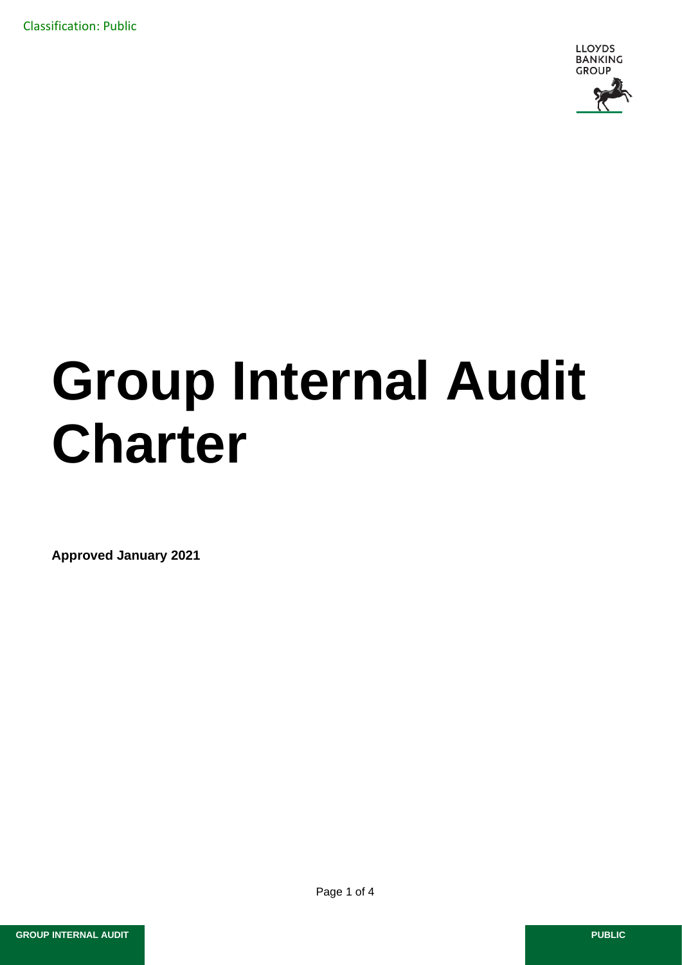Classification: Public



# **Group Internal Audit Charter**

**Approved January 2021**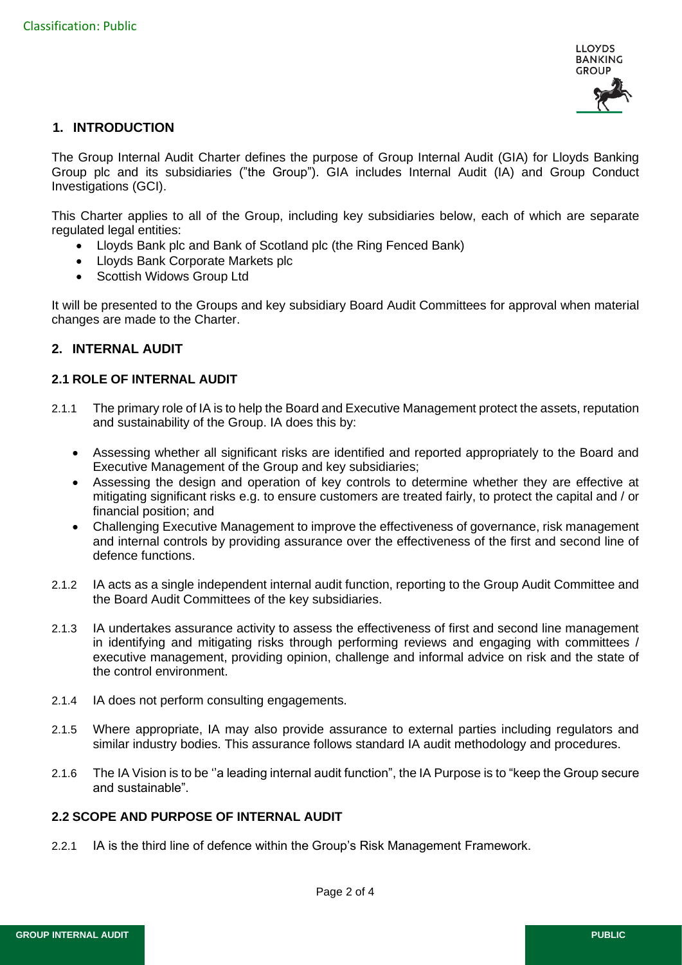

## **1. INTRODUCTION**

The Group Internal Audit Charter defines the purpose of Group Internal Audit (GIA) for Lloyds Banking Group plc and its subsidiaries ("the Group"). GIA includes Internal Audit (IA) and Group Conduct Investigations (GCI).

This Charter applies to all of the Group, including key subsidiaries below, each of which are separate regulated legal entities:

- Lloyds Bank plc and Bank of Scotland plc (the Ring Fenced Bank)
- Lloyds Bank Corporate Markets plc
- Scottish Widows Group Ltd

It will be presented to the Groups and key subsidiary Board Audit Committees for approval when material changes are made to the Charter.

## **2. INTERNAL AUDIT**

## **2.1 ROLE OF INTERNAL AUDIT**

- 2.1.1 The primary role of IA is to help the Board and Executive Management protect the assets, reputation and sustainability of the Group. IA does this by:
	- Assessing whether all significant risks are identified and reported appropriately to the Board and Executive Management of the Group and key subsidiaries;
	- Assessing the design and operation of key controls to determine whether they are effective at mitigating significant risks e.g. to ensure customers are treated fairly, to protect the capital and / or financial position; and
	- Challenging Executive Management to improve the effectiveness of governance, risk management and internal controls by providing assurance over the effectiveness of the first and second line of defence functions.
- 2.1.2 IA acts as a single independent internal audit function, reporting to the Group Audit Committee and the Board Audit Committees of the key subsidiaries.
- 2.1.3 IA undertakes assurance activity to assess the effectiveness of first and second line management in identifying and mitigating risks through performing reviews and engaging with committees / executive management, providing opinion, challenge and informal advice on risk and the state of the control environment.
- 2.1.4 IA does not perform consulting engagements.
- 2.1.5 Where appropriate, IA may also provide assurance to external parties including regulators and similar industry bodies. This assurance follows standard IA audit methodology and procedures.
- 2.1.6 The IA Vision is to be ''a leading internal audit function", the IA Purpose is to "keep the Group secure and sustainable".

#### **2.2 SCOPE AND PURPOSE OF INTERNAL AUDIT**

2.2.1 IA is the third line of defence within the Group's Risk Management Framework.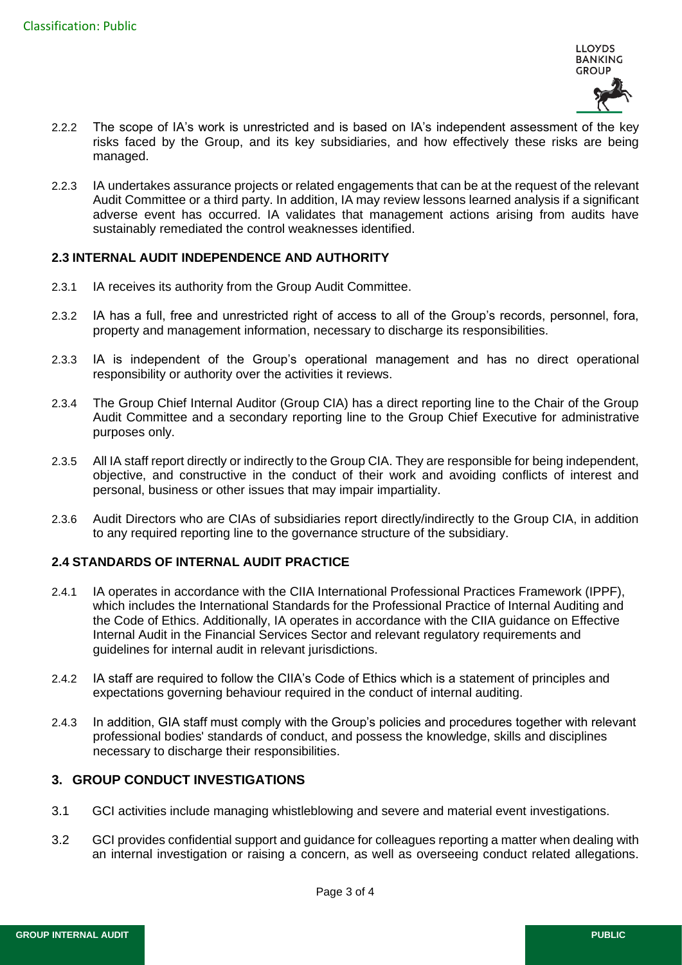

- 2.2.2 The scope of IA's work is unrestricted and is based on IA's independent assessment of the key risks faced by the Group, and its key subsidiaries, and how effectively these risks are being managed.
- 2.2.3 IA undertakes assurance projects or related engagements that can be at the request of the relevant Audit Committee or a third party. In addition, IA may review lessons learned analysis if a significant adverse event has occurred. IA validates that management actions arising from audits have sustainably remediated the control weaknesses identified.

## **2.3 INTERNAL AUDIT INDEPENDENCE AND AUTHORITY**

- 2.3.1 IA receives its authority from the Group Audit Committee.
- 2.3.2 IA has a full, free and unrestricted right of access to all of the Group's records, personnel, fora, property and management information, necessary to discharge its responsibilities.
- 2.3.3 IA is independent of the Group's operational management and has no direct operational responsibility or authority over the activities it reviews.
- 2.3.4 The Group Chief Internal Auditor (Group CIA) has a direct reporting line to the Chair of the Group Audit Committee and a secondary reporting line to the Group Chief Executive for administrative purposes only.
- 2.3.5 All IA staff report directly or indirectly to the Group CIA. They are responsible for being independent, objective, and constructive in the conduct of their work and avoiding conflicts of interest and personal, business or other issues that may impair impartiality.
- 2.3.6 Audit Directors who are CIAs of subsidiaries report directly/indirectly to the Group CIA, in addition to any required reporting line to the governance structure of the subsidiary.

## **2.4 STANDARDS OF INTERNAL AUDIT PRACTICE**

- 2.4.1 IA operates in accordance with the CIIA International Professional Practices Framework (IPPF), which includes the International Standards for the Professional Practice of Internal Auditing and the Code of Ethics. Additionally, IA operates in accordance with the CIIA guidance on Effective Internal Audit in the Financial Services Sector and relevant regulatory requirements and guidelines for internal audit in relevant jurisdictions.
- 2.4.2 IA staff are required to follow the CIIA's Code of Ethics which is a statement of principles and expectations governing behaviour required in the conduct of internal auditing.
- 2.4.3 In addition, GIA staff must comply with the Group's policies and procedures together with relevant professional bodies' standards of conduct, and possess the knowledge, skills and disciplines necessary to discharge their responsibilities.

# **3. GROUP CONDUCT INVESTIGATIONS**

- 3.1 GCI activities include managing whistleblowing and severe and material event investigations.
- 3.2 GCI provides confidential support and guidance for colleagues reporting a matter when dealing with an internal investigation or raising a concern, as well as overseeing conduct related allegations.